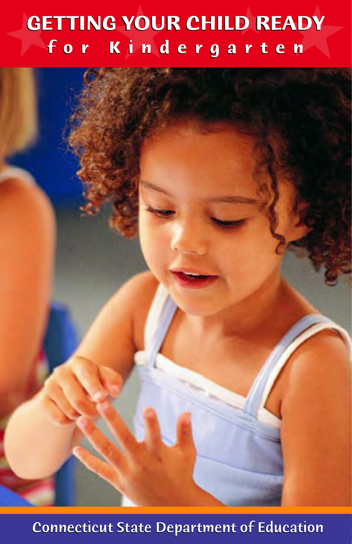# **GETTING YOUR CHILD READY GETTING YOUR CHILD READY f o r K i n d e r g a r t e n f o r K n d e r g a t e n**

**Connecticut State Department of Education**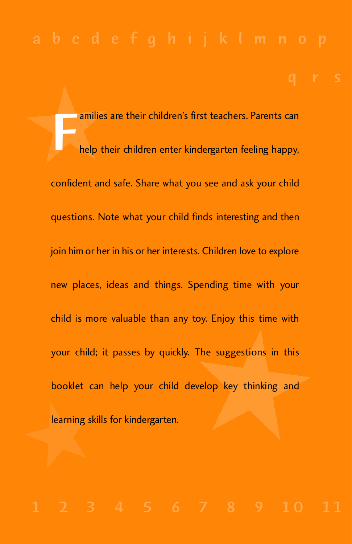F amilies are their children's first teachers. Parents can help their children enter kindergarten feeling happy, confident and safe. Share what you see and ask your child questions. Note what your child finds interesting and then join him or her in his or her interests. Children love to explore new places, ideas and things. Spending time with your child is more valuable than any toy. Enjoy this time with your child; it passes by quickly. The suggestions in this booklet can help your child develop key thinking and learning skills for kindergarten.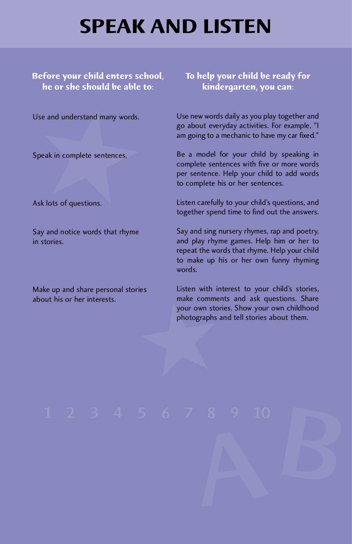## **SPEAK AND LISTEN**

**Before your child enters school, he or she should be able to:** 

Use and understand many words.

Speak in complete sentences.

Ask lots of questions.

Say and notice words that rhyme in stories.

Make up and share personal stories about his or her interests.

**To help your child be ready for kindergarten, you can:** 

Use new words daily as you play together and go about everyday activities. For example, "I am going to a mechanic to have my car fixed."

Be a model for your child by speaking in complete sentences with five or more words per sentence. Help your child to add words to complete his or her sentences.

Listen carefully to your child's questions, and together spend time to find out the answers.

Say and sing nursery rhymes, rap and poetry, and play rhyme games. Help him or her to repeat the words that rhyme. Help your child to make up his or her own funny rhyming words.

Listen with interest to your child's stories, make comments and ask questions. Share your own stories. Show your own childhood photographs and tell stories about them.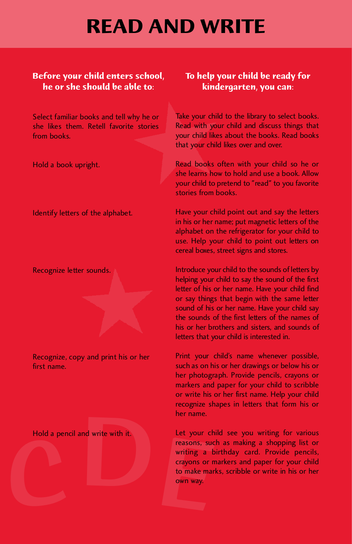## **READ AND WRITE**

#### **Before your child enters school, he or she should be able to:**

Select familiar books and tell why he or she likes them. Retell favorite stories from books.

Hold a book upright.

Identify letters of the alphabet.

Recognize letter sounds.

Recognize, copy and print his or her first name.

Hold a pencil and write with it.

### **To help your child be ready for kindergarten, you can:**

Take your child to the library to select books. Read with your child and discuss things that your child likes about the books. Read books that your child likes over and over.

Read books often with your child so he or she learns how to hold and use a book. Allow your child to pretend to "read" to you favorite stories from books.

Have your child point out and say the letters in his or her name; put magnetic letters of the alphabet on the refrigerator for your child to use. Help your child to point out letters on cereal boxes, street signs and stores.

Introduce your child to the sounds of letters by helping your child to say the sound of the first letter of his or her name. Have your child find or say things that begin with the same letter sound of his or her name. Have your child say the sounds of the first letters of the names of his or her brothers and sisters, and sounds of letters that your child is interested in.

Print your child's name whenever possible, such as on his or her drawings or below his or her photograph. Provide pencils, crayons or markers and paper for your child to scribble or write his or her first name. Help your child recognize shapes in letters that form his or her name.

Hold a pencil and write with it.<br>
reasons, suce writing a b<br>
crayons or m<br>
to make marl<br>
own way. Let your child see you writing for various reasons, such as making a shopping list or writing a birthday card. Provide pencils, crayons or markers and paper for your child to make marks, scribble or write in his or her own way.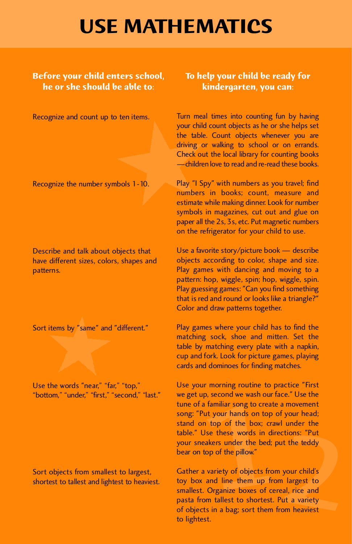### **USE MATHEMATICS**

#### **Before your child enters school, he or she should be able to:**

Recognize and count up to ten items.

Recognize the number symbols 1-10.

Describe and talk about objects that have different sizes, colors, shapes and patterns.

Sort items by "same" and "different."

Use the words "near," "far," "top," "bottom," "under," "first," "second," "last."

Sort objects from smallest to largest, shortest to tallest and lightest to heaviest.

### **To help your child be ready for kindergarten, you can:**

Turn meal times into counting fun by having your child count objects as he or she helps set the table. Count objects whenever you are driving or walking to school or on errands. Check out the local library for counting books —children love to read and re-read these books.

Play "I Spy" with numbers as you travel; find numbers in books; count, measure and estimate while making dinner. Look for number symbols in magazines, cut out and glue on paper all the 2s, 3s, etc. Put magnetic numbers on the refrigerator for your child to use.

Use a favorite story/picture book — describe objects according to color, shape and size. Play games with dancing and moving to a pattern: hop, wiggle, spin; hop, wiggle, spin. Play guessing games: "Can you find something that is red and round or looks like a triangle?" Color and draw patterns together.

Play games where your child has to find the matching sock, shoe and mitten. Set the table by matching every plate with a napkin, cup and fork. Look for picture games, playing cards and dominoes for finding matches.

familiar song to create a movement<br>t your hands on top of your head;<br>top of the box; crawl under the<br>se these words in directions: "Put<br>akers under the bed; put the teddy<br>op of the pillow."<br>variety of objects from your chi Use your morning routine to practice "First we get up, second we wash our face." Use the tune of a familiar song to create a movement song: "Put your hands on top of your head; stand on top of the box; crawl under the table." Use these words in directions: "Put your sneakers under the bed; put the teddy bear on top of the pillow."

Gather a variety of objects from your child's toy box and line them up from largest to smallest. Organize boxes of cereal, rice and pasta from tallest to shortest. Put a variety of objects in a bag; sort them from heaviest to lightest.